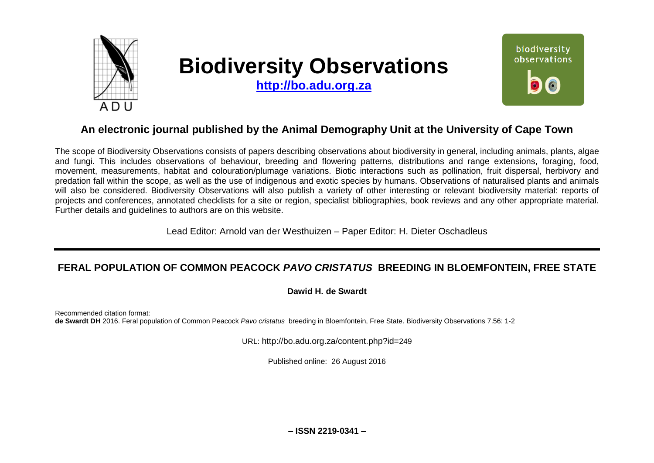

# **Biodiversity Observations**

**[http://bo.adu.org.za](http://bo.adu.org.za/)**



# **An electronic journal published by the Animal Demography Unit at the University of Cape Town**

The scope of Biodiversity Observations consists of papers describing observations about biodiversity in general, including animals, plants, algae and fungi. This includes observations of behaviour, breeding and flowering patterns, distributions and range extensions, foraging, food, movement, measurements, habitat and colouration/plumage variations. Biotic interactions such as pollination, fruit dispersal, herbivory and predation fall within the scope, as well as the use of indigenous and exotic species by humans. Observations of naturalised plants and animals will also be considered. Biodiversity Observations will also publish a variety of other interesting or relevant biodiversity material: reports of projects and conferences, annotated checklists for a site or region, specialist bibliographies, book reviews and any other appropriate material. Further details and guidelines to authors are on this website.

Lead Editor: Arnold van der Westhuizen – Paper Editor: H. Dieter Oschadleus

## **FERAL POPULATION OF COMMON PEACOCK** *PAVO CRISTATUS* **BREEDING IN BLOEMFONTEIN, FREE STATE**

#### **Dawid H. de Swardt**

Recommended citation format: **de Swardt DH** 2016. Feral population of Common Peacock *Pavo cristatus* breeding in Bloemfontein, Free State. Biodiversity Observations 7.56: 1-2

URL: http://bo.adu.org.za/content.php?id=249

Published online: 26 August 2016

**– ISSN 2219-0341 –**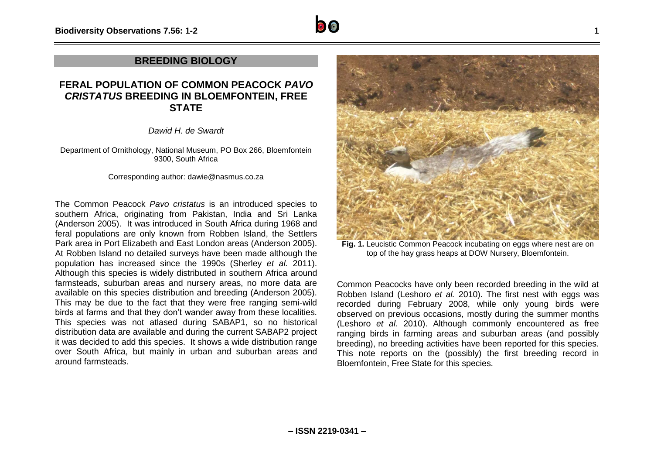

#### **BREEDING BIOLOGY**

### **FERAL POPULATION OF COMMON PEACOCK** *PAVO CRISTATUS* **BREEDING IN BLOEMFONTEIN, FREE STATE**

*Dawid H. de Swardt*

Department of Ornithology, National Museum, PO Box 266, Bloemfontein 9300, South Africa

Corresponding author: dawie@nasmus.co.za

The Common Peacock *Pavo cristatus* is an introduced species to southern Africa, originating from Pakistan, India and Sri Lanka (Anderson 2005). It was introduced in South Africa during 1968 and feral populations are only known from Robben Island, the Settlers Park area in Port Elizabeth and East London areas (Anderson 2005). At Robben Island no detailed surveys have been made although the population has increased since the 1990s (Sherley *et al.* 2011). Although this species is widely distributed in southern Africa around farmsteads, suburban areas and nursery areas, no more data are available on this species distribution and breeding (Anderson 2005). This may be due to the fact that they were free ranging semi-wild birds at farms and that they don't wander away from these localities. This species was not atlased during SABAP1, so no historical distribution data are available and during the current SABAP2 project it was decided to add this species. It shows a wide distribution range over South Africa, but mainly in urban and suburban areas and around farmsteads.



**Fig. 1.** Leucistic Common Peacock incubating on eggs where nest are on top of the hay grass heaps at DOW Nursery, Bloemfontein.

Common Peacocks have only been recorded breeding in the wild at Robben Island (Leshoro *et al.* 2010). The first nest with eggs was recorded during February 2008, while only young birds were observed on previous occasions, mostly during the summer months (Leshoro *et al.* 2010). Although commonly encountered as free ranging birds in farming areas and suburban areas (and possibly breeding), no breeding activities have been reported for this species. This note reports on the (possibly) the first breeding record in Bloemfontein, Free State for this species.